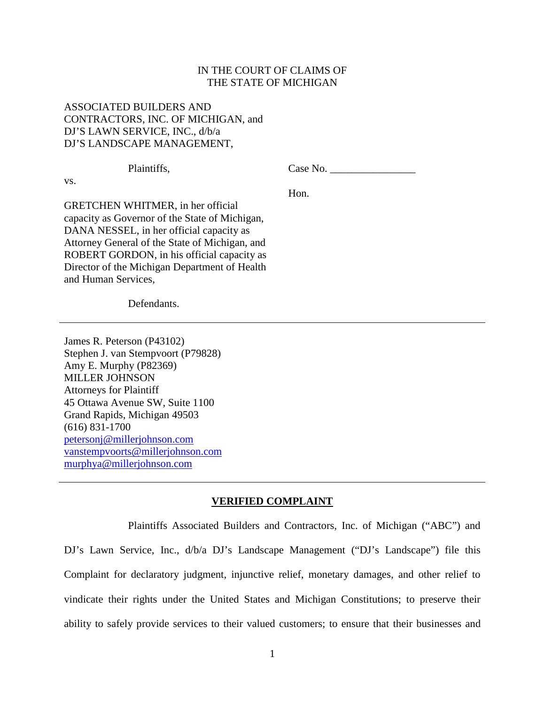## IN THE COURT OF CLAIMS OF THE STATE OF MICHIGAN

# ASSOCIATED BUILDERS AND CONTRACTORS, INC. OF MICHIGAN, and DJ'S LAWN SERVICE, INC., d/b/a DJ'S LANDSCAPE MANAGEMENT,

vs.

Plaintiffs, Case No. Hon.

GRETCHEN WHITMER, in her official capacity as Governor of the State of Michigan, DANA NESSEL, in her official capacity as Attorney General of the State of Michigan, and ROBERT GORDON, in his official capacity as Director of the Michigan Department of Health and Human Services,

Defendants.

James R. Peterson (P43102) Stephen J. van Stempvoort (P79828) Amy E. Murphy (P82369) MILLER JOHNSON Attorneys for Plaintiff 45 Ottawa Avenue SW, Suite 1100 Grand Rapids, Michigan 49503 (616) 831-1700 petersonj@millerjohnson.com vanstempvoorts@millerjohnson.com murphya@millerjohnson.com

#### **VERIFIED COMPLAINT**

Plaintiffs Associated Builders and Contractors, Inc. of Michigan ("ABC") and DJ's Lawn Service, Inc.,  $d/b/a$  DJ's Landscape Management ("DJ's Landscape") file this Complaint for declaratory judgment, injunctive relief, monetary damages, and other relief to vindicate their rights under the United States and Michigan Constitutions; to preserve their ability to safely provide services to their valued customers; to ensure that their businesses and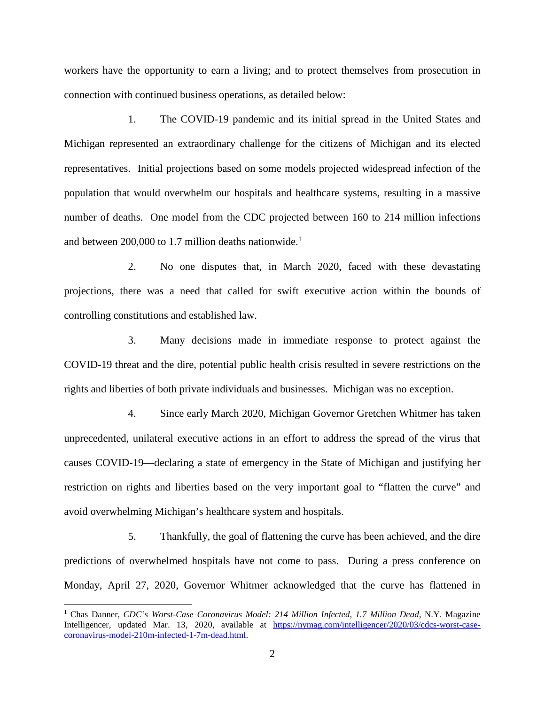workers have the opportunity to earn a living; and to protect themselves from prosecution in connection with continued business operations, as detailed below:

1. The COVID-19 pandemic and its initial spread in the United States and Michigan represented an extraordinary challenge for the citizens of Michigan and its elected representatives. Initial projections based on some models projected widespread infection of the population that would overwhelm our hospitals and healthcare systems, resulting in a massive number of deaths. One model from the CDC projected between 160 to 214 million infections and between 200,000 to 1.7 million deaths nationwide.<sup>1</sup>

2. No one disputes that, in March 2020, faced with these devastating projections, there was a need that called for swift executive action within the bounds of controlling constitutions and established law.

3. Many decisions made in immediate response to protect against the COVID-19 threat and the dire, potential public health crisis resulted in severe restrictions on the rights and liberties of both private individuals and businesses. Michigan was no exception.

4. Since early March 2020, Michigan Governor Gretchen Whitmer has taken unprecedented, unilateral executive actions in an effort to address the spread of the virus that causes COVID-19—declaring a state of emergency in the State of Michigan and justifying her restriction on rights and liberties based on the very important goal to "flatten the curve" and avoid overwhelming Michigan's healthcare system and hospitals.

5. Thankfully, the goal of flattening the curve has been achieved, and the dire predictions of overwhelmed hospitals have not come to pass. During a press conference on Monday, April 27, 2020, Governor Whitmer acknowledged that the curve has flattened in

<sup>&</sup>lt;sup>1</sup> Chas Danner, *CDC's Worst-Case Coronavirus Model: 214 Million Infected, 1.7 Million Dead, N.Y. Magazine* Intelligencer, updated Mar. 13, 2020, available at https://nymag.com/intelligencer/2020/03/cdcs-worst-casecoronavirus-model-210m-infected-1-7m-dead.html.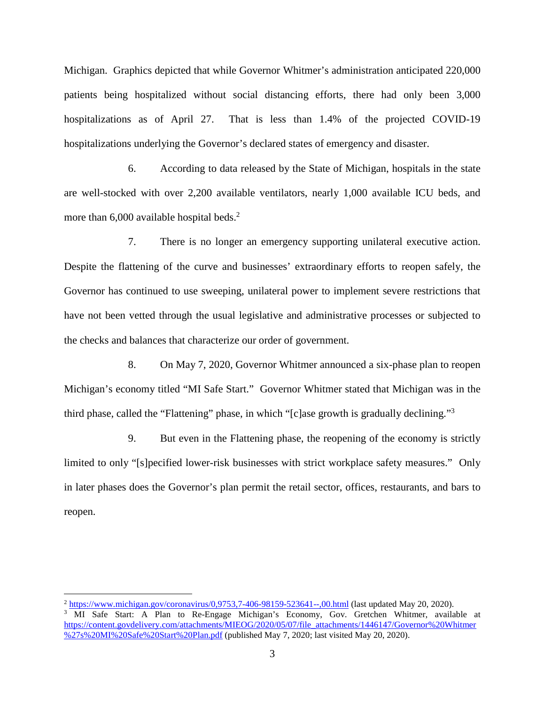Michigan. Graphics depicted that while Governor Whitmer's administration anticipated 220,000 patients being hospitalized without social distancing efforts, there had only been 3,000 hospitalizations as of April 27. That is less than 1.4% of the projected COVID-19 hospitalizations underlying the Governor's declared states of emergency and disaster.

6. According to data released by the State of Michigan, hospitals in the state are well-stocked with over 2,200 available ventilators, nearly 1,000 available ICU beds, and more than  $6,000$  available hospital beds.<sup>2</sup>

7. There is no longer an emergency supporting unilateral executive action. Despite the flattening of the curve and businesses' extraordinary efforts to reopen safely, the Governor has continued to use sweeping, unilateral power to implement severe restrictions that have not been vetted through the usual legislative and administrative processes or subjected to the checks and balances that characterize our order of government.

8. On May 7, 2020, Governor Whitmer announced a six-phase plan to reopen Michigan's economy titled "MI Safe Start." Governor Whitmer stated that Michigan was in the third phase, called the "Flattening" phase, in which "[c]ase growth is gradually declining."<sup>3</sup>

9. But even in the Flattening phase, the reopening of the economy is strictly limited to only "[s]pecified lower-risk businesses with strict workplace safety measures." Only in later phases does the Governor's plan permit the retail sector, offices, restaurants, and bars to reopen.

 $^{2}$  https://www.michigan.gov/coronavirus/0,9753,7-406-98159-523641--,00.html (last updated May 20, 2020). <sup>3</sup> MI Safe Start: A Plan to Re-Engage Michigan's Economy, Gov. Gretchen Whitmer, available at https://content.govdelivery.com/attachments/MIEOG/2020/05/07/file\_attachments/1446147/Governor%20Whitmer %27s%20MI%20Safe%20Start%20Plan.pdf (published May 7, 2020; last visited May 20, 2020).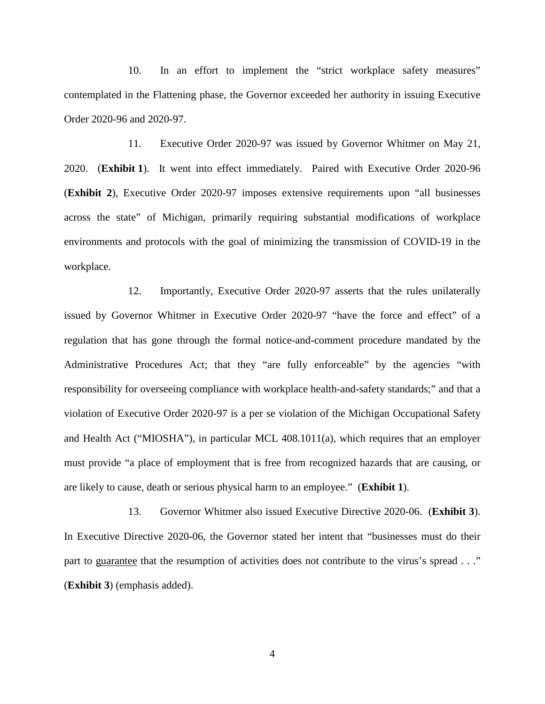10. In an effort to implement the "strict workplace safety measures" contemplated in the Flattening phase, the Governor exceeded her authority in issuing Executive Order 2020-96 and 2020-97.

11. Executive Order 2020-97 was issued by Governor Whitmer on May 21, 2020. (**Exhibit 1**). It went into effect immediately. Paired with Executive Order 2020-96 (**Exhibit 2**), Executive Order 2020-97 imposes extensive requirements upon "all businesses across the state" of Michigan, primarily requiring substantial modifications of workplace environments and protocols with the goal of minimizing the transmission of COVID-19 in the workplace.

12. Importantly, Executive Order 2020-97 asserts that the rules unilaterally issued by Governor Whitmer in Executive Order 2020-97 "have the force and effect" of a regulation that has gone through the formal notice-and-comment procedure mandated by the Administrative Procedures Act; that they "are fully enforceable" by the agencies "with responsibility for overseeing compliance with workplace health-and-safety standards;" and that a violation of Executive Order 2020-97 is a per se violation of the Michigan Occupational Safety and Health Act ("MIOSHA"), in particular MCL 408.1011(a), which requires that an employer must provide "a place of employment that is free from recognized hazards that are causing, or are likely to cause, death or serious physical harm to an employee." (**Exhibit 1**).

13. Governor Whitmer also issued Executive Directive 2020-06. (**Exhibit 3**). In Executive Directive 2020-06, the Governor stated her intent that "businesses must do their part to guarantee that the resumption of activities does not contribute to the virus's spread . . ." (**Exhibit 3**) (emphasis added).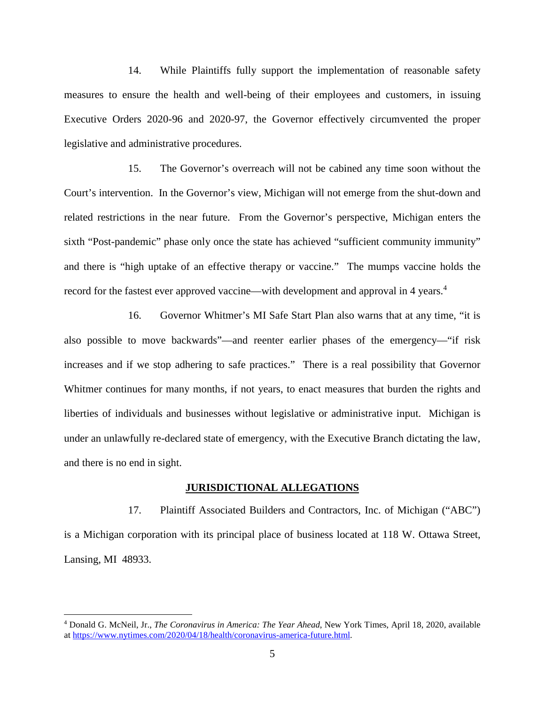14. While Plaintiffs fully support the implementation of reasonable safety measures to ensure the health and well-being of their employees and customers, in issuing Executive Orders 2020-96 and 2020-97, the Governor effectively circumvented the proper legislative and administrative procedures.

15. The Governor's overreach will not be cabined any time soon without the Court's intervention. In the Governor's view, Michigan will not emerge from the shut-down and related restrictions in the near future. From the Governor's perspective, Michigan enters the sixth "Post-pandemic" phase only once the state has achieved "sufficient community immunity" and there is "high uptake of an effective therapy or vaccine." The mumps vaccine holds the record for the fastest ever approved vaccine—with development and approval in 4 years.<sup>4</sup>

16. Governor Whitmer's MI Safe Start Plan also warns that at any time, "it is also possible to move backwards"—and reenter earlier phases of the emergency—"if risk increases and if we stop adhering to safe practices." There is a real possibility that Governor Whitmer continues for many months, if not years, to enact measures that burden the rights and liberties of individuals and businesses without legislative or administrative input. Michigan is under an unlawfully re-declared state of emergency, with the Executive Branch dictating the law, and there is no end in sight.

## **JURISDICTIONAL ALLEGATIONS**

17. Plaintiff Associated Builders and Contractors, Inc. of Michigan ("ABC") is a Michigan corporation with its principal place of business located at 118 W. Ottawa Street, Lansing, MI 48933.

<sup>4</sup> Donald G. McNeil, Jr., *The Coronavirus in America: The Year Ahead*, New York Times, April 18, 2020, available at https://www.nytimes.com/2020/04/18/health/coronavirus-america-future.html.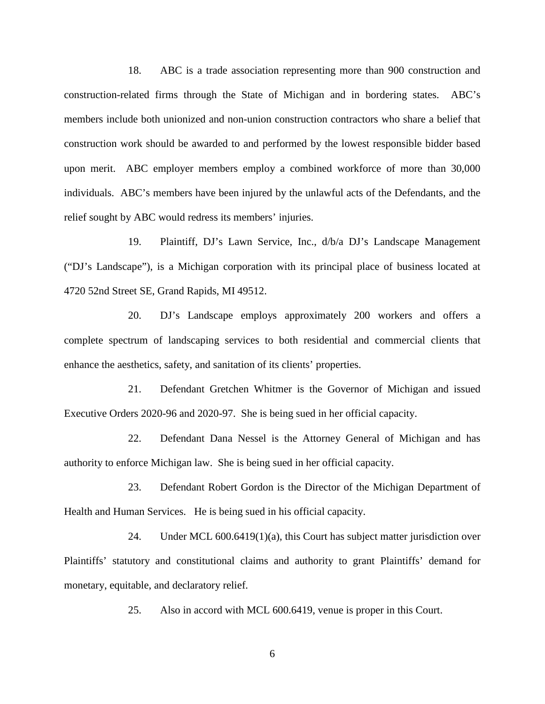18. ABC is a trade association representing more than 900 construction and construction-related firms through the State of Michigan and in bordering states. ABC's members include both unionized and non-union construction contractors who share a belief that construction work should be awarded to and performed by the lowest responsible bidder based upon merit. ABC employer members employ a combined workforce of more than 30,000 individuals. ABC's members have been injured by the unlawful acts of the Defendants, and the relief sought by ABC would redress its members' injuries.

19. Plaintiff, DJ's Lawn Service, Inc., d/b/a DJ's Landscape Management ("DJ's Landscape"), is a Michigan corporation with its principal place of business located at 4720 52nd Street SE, Grand Rapids, MI 49512.

20. DJ's Landscape employs approximately 200 workers and offers a complete spectrum of landscaping services to both residential and commercial clients that enhance the aesthetics, safety, and sanitation of its clients' properties.

21. Defendant Gretchen Whitmer is the Governor of Michigan and issued Executive Orders 2020-96 and 2020-97. She is being sued in her official capacity.

22. Defendant Dana Nessel is the Attorney General of Michigan and has authority to enforce Michigan law. She is being sued in her official capacity.

23. Defendant Robert Gordon is the Director of the Michigan Department of Health and Human Services. He is being sued in his official capacity.

24. Under MCL 600.6419(1)(a), this Court has subject matter jurisdiction over Plaintiffs' statutory and constitutional claims and authority to grant Plaintiffs' demand for monetary, equitable, and declaratory relief.

25. Also in accord with MCL 600.6419, venue is proper in this Court.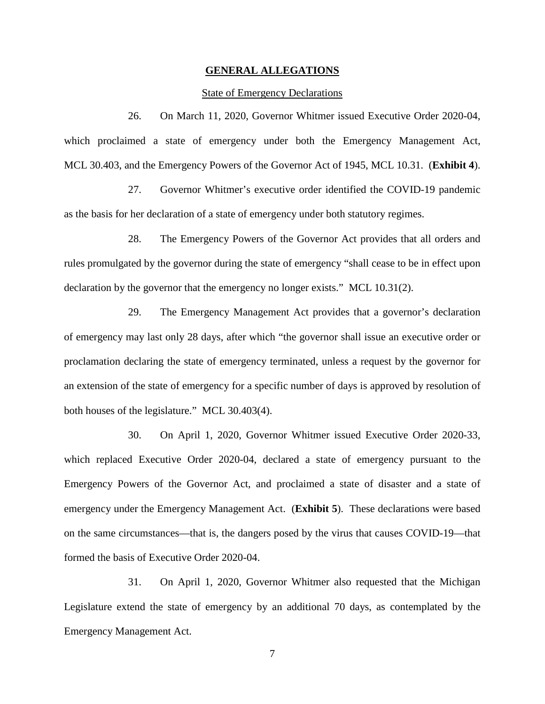## **GENERAL ALLEGATIONS**

## State of Emergency Declarations

26. On March 11, 2020, Governor Whitmer issued Executive Order 2020-04, which proclaimed a state of emergency under both the Emergency Management Act, MCL 30.403, and the Emergency Powers of the Governor Act of 1945, MCL 10.31. (**Exhibit 4**).

27. Governor Whitmer's executive order identified the COVID-19 pandemic as the basis for her declaration of a state of emergency under both statutory regimes.

28. The Emergency Powers of the Governor Act provides that all orders and rules promulgated by the governor during the state of emergency "shall cease to be in effect upon declaration by the governor that the emergency no longer exists." MCL 10.31(2).

29. The Emergency Management Act provides that a governor's declaration of emergency may last only 28 days, after which "the governor shall issue an executive order or proclamation declaring the state of emergency terminated, unless a request by the governor for an extension of the state of emergency for a specific number of days is approved by resolution of both houses of the legislature." MCL 30.403(4).

30. On April 1, 2020, Governor Whitmer issued Executive Order 2020-33, which replaced Executive Order 2020-04, declared a state of emergency pursuant to the Emergency Powers of the Governor Act, and proclaimed a state of disaster and a state of emergency under the Emergency Management Act. (**Exhibit 5**). These declarations were based on the same circumstances—that is, the dangers posed by the virus that causes COVID-19—that formed the basis of Executive Order 2020-04.

31. On April 1, 2020, Governor Whitmer also requested that the Michigan Legislature extend the state of emergency by an additional 70 days, as contemplated by the Emergency Management Act.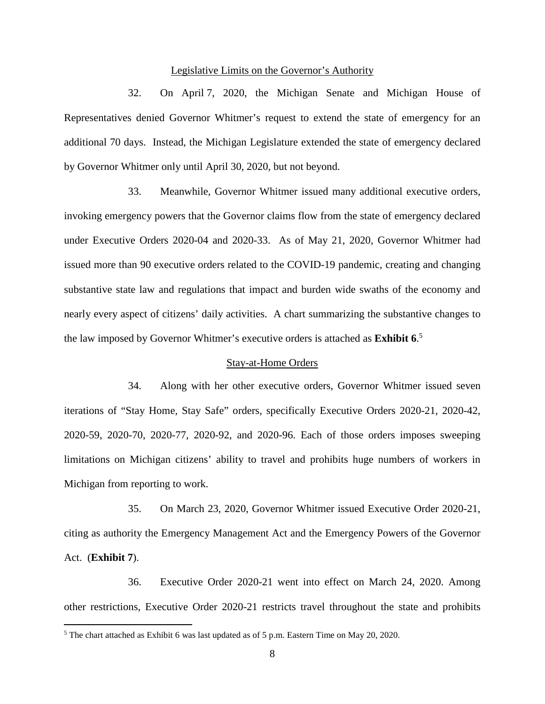## Legislative Limits on the Governor's Authority

32. On April 7, 2020, the Michigan Senate and Michigan House of Representatives denied Governor Whitmer's request to extend the state of emergency for an additional 70 days. Instead, the Michigan Legislature extended the state of emergency declared by Governor Whitmer only until April 30, 2020, but not beyond.

33. Meanwhile, Governor Whitmer issued many additional executive orders, invoking emergency powers that the Governor claims flow from the state of emergency declared under Executive Orders 2020-04 and 2020-33. As of May 21, 2020, Governor Whitmer had issued more than 90 executive orders related to the COVID-19 pandemic, creating and changing substantive state law and regulations that impact and burden wide swaths of the economy and nearly every aspect of citizens' daily activities. A chart summarizing the substantive changes to the law imposed by Governor Whitmer's executive orders is attached as **Exhibit 6**. 5

## Stay-at-Home Orders

34. Along with her other executive orders, Governor Whitmer issued seven iterations of "Stay Home, Stay Safe" orders, specifically Executive Orders 2020-21, 2020-42, 2020-59, 2020-70, 2020-77, 2020-92, and 2020-96. Each of those orders imposes sweeping limitations on Michigan citizens' ability to travel and prohibits huge numbers of workers in Michigan from reporting to work.

35. On March 23, 2020, Governor Whitmer issued Executive Order 2020-21, citing as authority the Emergency Management Act and the Emergency Powers of the Governor Act. (**Exhibit 7**).

36. Executive Order 2020-21 went into effect on March 24, 2020. Among other restrictions, Executive Order 2020-21 restricts travel throughout the state and prohibits

<sup>&</sup>lt;sup>5</sup> The chart attached as Exhibit 6 was last updated as of 5 p.m. Eastern Time on May 20, 2020.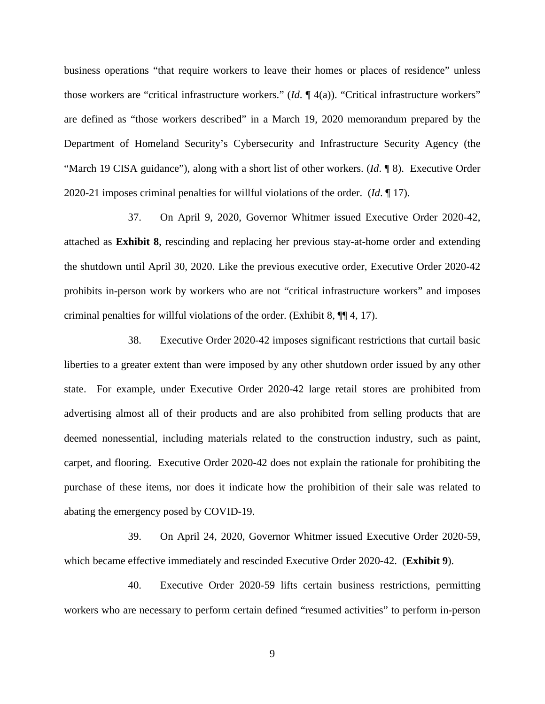business operations "that require workers to leave their homes or places of residence" unless those workers are "critical infrastructure workers." (*Id*. ¶ 4(a)). "Critical infrastructure workers" are defined as "those workers described" in a March 19, 2020 memorandum prepared by the Department of Homeland Security's Cybersecurity and Infrastructure Security Agency (the "March 19 CISA guidance"), along with a short list of other workers. (*Id*. ¶ 8). Executive Order 2020-21 imposes criminal penalties for willful violations of the order. (*Id*. ¶ 17).

37. On April 9, 2020, Governor Whitmer issued Executive Order 2020-42, attached as **Exhibit 8**, rescinding and replacing her previous stay-at-home order and extending the shutdown until April 30, 2020. Like the previous executive order, Executive Order 2020-42 prohibits in-person work by workers who are not "critical infrastructure workers" and imposes criminal penalties for willful violations of the order. (Exhibit 8, ¶¶ 4, 17).

38. Executive Order 2020-42 imposes significant restrictions that curtail basic liberties to a greater extent than were imposed by any other shutdown order issued by any other state. For example, under Executive Order 2020-42 large retail stores are prohibited from advertising almost all of their products and are also prohibited from selling products that are deemed nonessential, including materials related to the construction industry, such as paint, carpet, and flooring. Executive Order 2020-42 does not explain the rationale for prohibiting the purchase of these items, nor does it indicate how the prohibition of their sale was related to abating the emergency posed by COVID-19.

39. On April 24, 2020, Governor Whitmer issued Executive Order 2020-59, which became effective immediately and rescinded Executive Order 2020-42. (**Exhibit 9**).

40. Executive Order 2020-59 lifts certain business restrictions, permitting workers who are necessary to perform certain defined "resumed activities" to perform in-person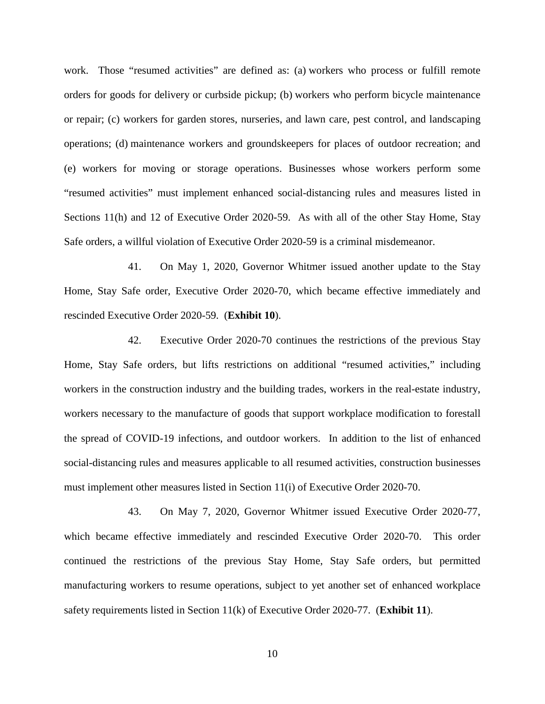work. Those "resumed activities" are defined as: (a) workers who process or fulfill remote orders for goods for delivery or curbside pickup; (b) workers who perform bicycle maintenance or repair; (c) workers for garden stores, nurseries, and lawn care, pest control, and landscaping operations; (d) maintenance workers and groundskeepers for places of outdoor recreation; and (e) workers for moving or storage operations. Businesses whose workers perform some "resumed activities" must implement enhanced social-distancing rules and measures listed in Sections 11(h) and 12 of Executive Order 2020-59. As with all of the other Stay Home, Stay Safe orders, a willful violation of Executive Order 2020-59 is a criminal misdemeanor.

41. On May 1, 2020, Governor Whitmer issued another update to the Stay Home, Stay Safe order, Executive Order 2020-70, which became effective immediately and rescinded Executive Order 2020-59. (**Exhibit 10**).

42. Executive Order 2020-70 continues the restrictions of the previous Stay Home, Stay Safe orders, but lifts restrictions on additional "resumed activities," including workers in the construction industry and the building trades, workers in the real-estate industry, workers necessary to the manufacture of goods that support workplace modification to forestall the spread of COVID-19 infections, and outdoor workers. In addition to the list of enhanced social-distancing rules and measures applicable to all resumed activities, construction businesses must implement other measures listed in Section 11(i) of Executive Order 2020-70.

43. On May 7, 2020, Governor Whitmer issued Executive Order 2020-77, which became effective immediately and rescinded Executive Order 2020-70. This order continued the restrictions of the previous Stay Home, Stay Safe orders, but permitted manufacturing workers to resume operations, subject to yet another set of enhanced workplace safety requirements listed in Section 11(k) of Executive Order 2020-77. (**Exhibit 11**).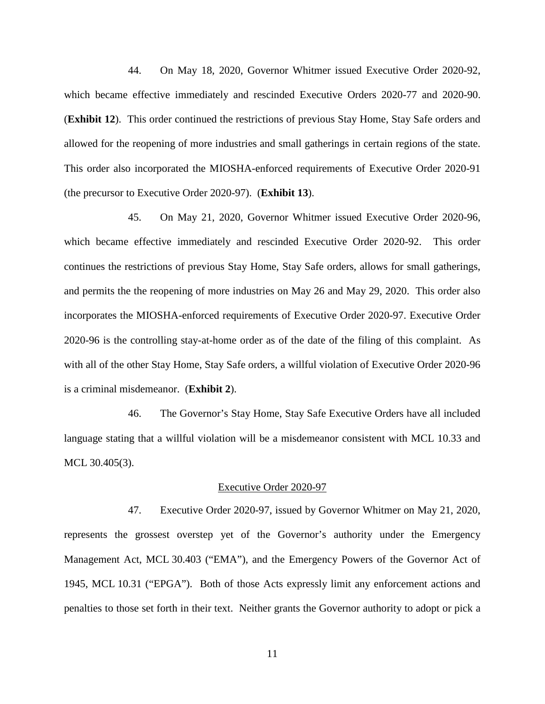44. On May 18, 2020, Governor Whitmer issued Executive Order 2020-92, which became effective immediately and rescinded Executive Orders 2020-77 and 2020-90. (**Exhibit 12**). This order continued the restrictions of previous Stay Home, Stay Safe orders and allowed for the reopening of more industries and small gatherings in certain regions of the state. This order also incorporated the MIOSHA-enforced requirements of Executive Order 2020-91 (the precursor to Executive Order 2020-97). (**Exhibit 13**).

45. On May 21, 2020, Governor Whitmer issued Executive Order 2020-96, which became effective immediately and rescinded Executive Order 2020-92. This order continues the restrictions of previous Stay Home, Stay Safe orders, allows for small gatherings, and permits the the reopening of more industries on May 26 and May 29, 2020. This order also incorporates the MIOSHA-enforced requirements of Executive Order 2020-97. Executive Order 2020-96 is the controlling stay-at-home order as of the date of the filing of this complaint. As with all of the other Stay Home, Stay Safe orders, a willful violation of Executive Order 2020-96 is a criminal misdemeanor. (**Exhibit 2**).

46. The Governor's Stay Home, Stay Safe Executive Orders have all included language stating that a willful violation will be a misdemeanor consistent with MCL 10.33 and MCL 30.405(3).

## Executive Order 2020-97

47. Executive Order 2020-97, issued by Governor Whitmer on May 21, 2020, represents the grossest overstep yet of the Governor's authority under the Emergency Management Act, MCL 30.403 ("EMA"), and the Emergency Powers of the Governor Act of 1945, MCL 10.31 ("EPGA"). Both of those Acts expressly limit any enforcement actions and penalties to those set forth in their text. Neither grants the Governor authority to adopt or pick a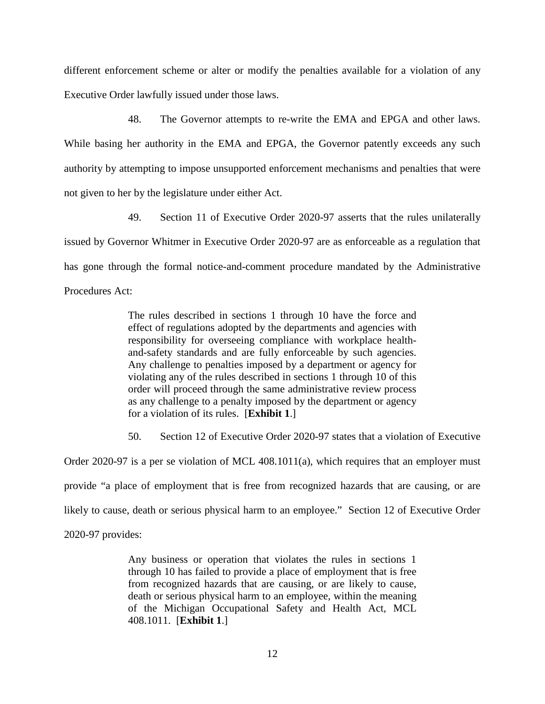different enforcement scheme or alter or modify the penalties available for a violation of any Executive Order lawfully issued under those laws.

48. The Governor attempts to re-write the EMA and EPGA and other laws. While basing her authority in the EMA and EPGA, the Governor patently exceeds any such authority by attempting to impose unsupported enforcement mechanisms and penalties that were not given to her by the legislature under either Act.

49. Section 11 of Executive Order 2020-97 asserts that the rules unilaterally issued by Governor Whitmer in Executive Order 2020-97 are as enforceable as a regulation that has gone through the formal notice-and-comment procedure mandated by the Administrative Procedures Act:

> The rules described in sections 1 through 10 have the force and effect of regulations adopted by the departments and agencies with responsibility for overseeing compliance with workplace healthand-safety standards and are fully enforceable by such agencies. Any challenge to penalties imposed by a department or agency for violating any of the rules described in sections 1 through 10 of this order will proceed through the same administrative review process as any challenge to a penalty imposed by the department or agency for a violation of its rules. [**Exhibit 1**.]

50. Section 12 of Executive Order 2020-97 states that a violation of Executive

Order 2020-97 is a per se violation of MCL 408.1011(a), which requires that an employer must provide "a place of employment that is free from recognized hazards that are causing, or are likely to cause, death or serious physical harm to an employee." Section 12 of Executive Order 2020-97 provides:

> Any business or operation that violates the rules in sections 1 through 10 has failed to provide a place of employment that is free from recognized hazards that are causing, or are likely to cause, death or serious physical harm to an employee, within the meaning of the Michigan Occupational Safety and Health Act, MCL 408.1011. [**Exhibit 1**.]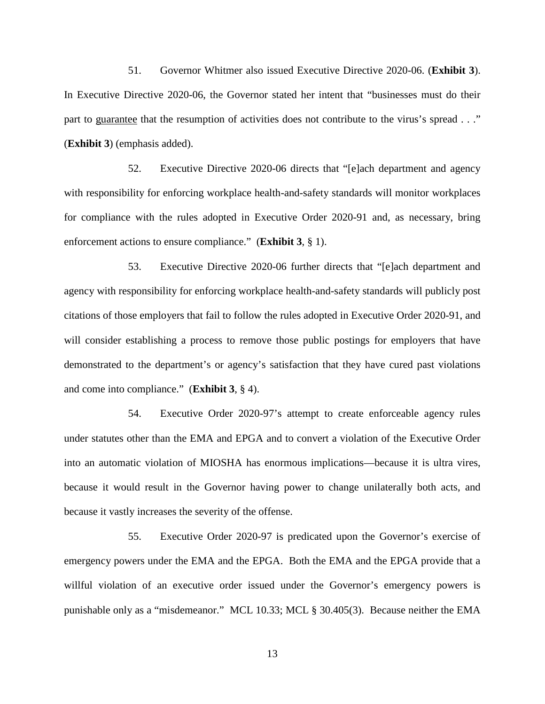51. Governor Whitmer also issued Executive Directive 2020-06. (**Exhibit 3**). In Executive Directive 2020-06, the Governor stated her intent that "businesses must do their part to guarantee that the resumption of activities does not contribute to the virus's spread . . ." (**Exhibit 3**) (emphasis added).

52. Executive Directive 2020-06 directs that "[e]ach department and agency with responsibility for enforcing workplace health-and-safety standards will monitor workplaces for compliance with the rules adopted in Executive Order 2020-91 and, as necessary, bring enforcement actions to ensure compliance." (**Exhibit 3**, § 1).

53. Executive Directive 2020-06 further directs that "[e]ach department and agency with responsibility for enforcing workplace health-and-safety standards will publicly post citations of those employers that fail to follow the rules adopted in Executive Order 2020-91, and will consider establishing a process to remove those public postings for employers that have demonstrated to the department's or agency's satisfaction that they have cured past violations and come into compliance." (**Exhibit 3**, § 4).

54. Executive Order 2020-97's attempt to create enforceable agency rules under statutes other than the EMA and EPGA and to convert a violation of the Executive Order into an automatic violation of MIOSHA has enormous implications—because it is ultra vires, because it would result in the Governor having power to change unilaterally both acts, and because it vastly increases the severity of the offense.

55. Executive Order 2020-97 is predicated upon the Governor's exercise of emergency powers under the EMA and the EPGA. Both the EMA and the EPGA provide that a willful violation of an executive order issued under the Governor's emergency powers is punishable only as a "misdemeanor." MCL 10.33; MCL § 30.405(3). Because neither the EMA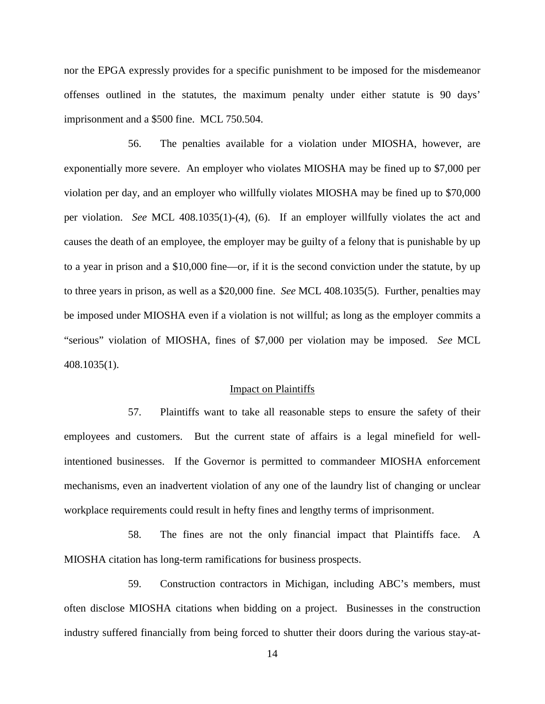nor the EPGA expressly provides for a specific punishment to be imposed for the misdemeanor offenses outlined in the statutes, the maximum penalty under either statute is 90 days' imprisonment and a \$500 fine. MCL 750.504.

56. The penalties available for a violation under MIOSHA, however, are exponentially more severe. An employer who violates MIOSHA may be fined up to \$7,000 per violation per day, and an employer who willfully violates MIOSHA may be fined up to \$70,000 per violation. *See* MCL 408.1035(1)-(4), (6). If an employer willfully violates the act and causes the death of an employee, the employer may be guilty of a felony that is punishable by up to a year in prison and a \$10,000 fine—or, if it is the second conviction under the statute, by up to three years in prison, as well as a \$20,000 fine. *See* MCL 408.1035(5). Further, penalties may be imposed under MIOSHA even if a violation is not willful; as long as the employer commits a "serious" violation of MIOSHA, fines of \$7,000 per violation may be imposed. *See* MCL 408.1035(1).

#### Impact on Plaintiffs

57. Plaintiffs want to take all reasonable steps to ensure the safety of their employees and customers. But the current state of affairs is a legal minefield for wellintentioned businesses. If the Governor is permitted to commandeer MIOSHA enforcement mechanisms, even an inadvertent violation of any one of the laundry list of changing or unclear workplace requirements could result in hefty fines and lengthy terms of imprisonment.

58. The fines are not the only financial impact that Plaintiffs face. A MIOSHA citation has long-term ramifications for business prospects.

59. Construction contractors in Michigan, including ABC's members, must often disclose MIOSHA citations when bidding on a project. Businesses in the construction industry suffered financially from being forced to shutter their doors during the various stay-at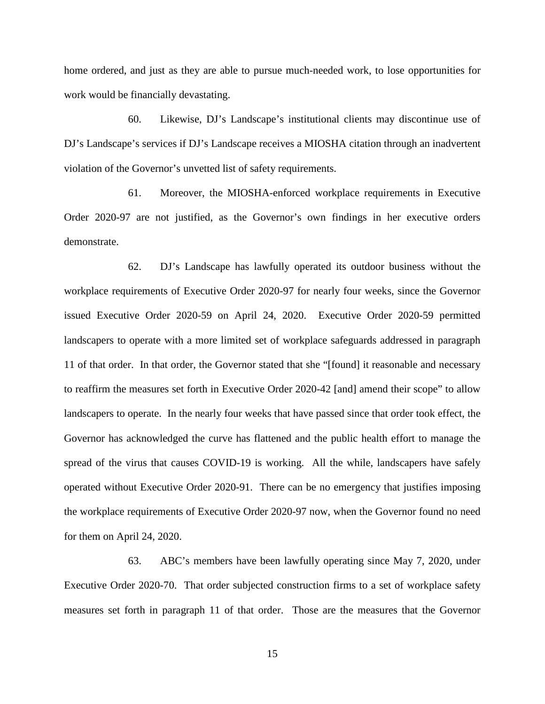home ordered, and just as they are able to pursue much-needed work, to lose opportunities for work would be financially devastating.

60. Likewise, DJ's Landscape's institutional clients may discontinue use of DJ's Landscape's services if DJ's Landscape receives a MIOSHA citation through an inadvertent violation of the Governor's unvetted list of safety requirements.

61. Moreover, the MIOSHA-enforced workplace requirements in Executive Order 2020-97 are not justified, as the Governor's own findings in her executive orders demonstrate.

62. DJ's Landscape has lawfully operated its outdoor business without the workplace requirements of Executive Order 2020-97 for nearly four weeks, since the Governor issued Executive Order 2020-59 on April 24, 2020. Executive Order 2020-59 permitted landscapers to operate with a more limited set of workplace safeguards addressed in paragraph 11 of that order. In that order, the Governor stated that she "[found] it reasonable and necessary to reaffirm the measures set forth in Executive Order 2020-42 [and] amend their scope" to allow landscapers to operate. In the nearly four weeks that have passed since that order took effect, the Governor has acknowledged the curve has flattened and the public health effort to manage the spread of the virus that causes COVID-19 is working. All the while, landscapers have safely operated without Executive Order 2020-91. There can be no emergency that justifies imposing the workplace requirements of Executive Order 2020-97 now, when the Governor found no need for them on April 24, 2020.

63. ABC's members have been lawfully operating since May 7, 2020, under Executive Order 2020-70. That order subjected construction firms to a set of workplace safety measures set forth in paragraph 11 of that order. Those are the measures that the Governor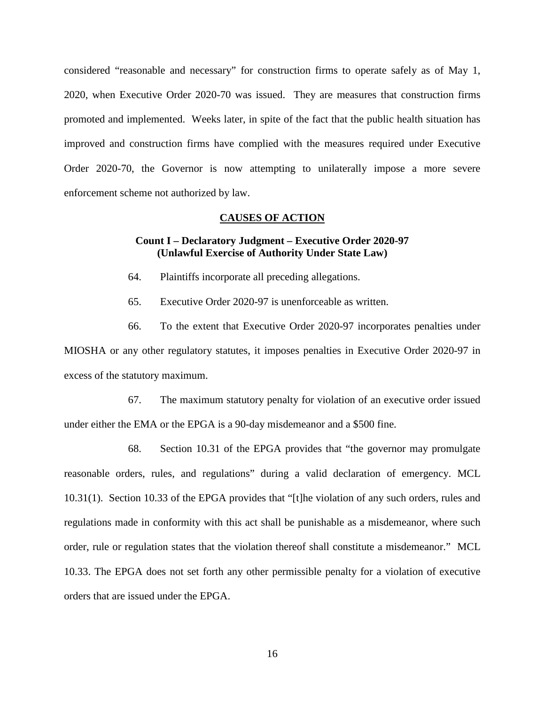considered "reasonable and necessary" for construction firms to operate safely as of May 1, 2020, when Executive Order 2020-70 was issued. They are measures that construction firms promoted and implemented. Weeks later, in spite of the fact that the public health situation has improved and construction firms have complied with the measures required under Executive Order 2020-70, the Governor is now attempting to unilaterally impose a more severe enforcement scheme not authorized by law.

#### **CAUSES OF ACTION**

## **Count I – Declaratory Judgment – Executive Order 2020-97 (Unlawful Exercise of Authority Under State Law)**

- 64. Plaintiffs incorporate all preceding allegations.
- 65. Executive Order 2020-97 is unenforceable as written.

66. To the extent that Executive Order 2020-97 incorporates penalties under MIOSHA or any other regulatory statutes, it imposes penalties in Executive Order 2020-97 in excess of the statutory maximum.

67. The maximum statutory penalty for violation of an executive order issued under either the EMA or the EPGA is a 90-day misdemeanor and a \$500 fine.

68. Section 10.31 of the EPGA provides that "the governor may promulgate reasonable orders, rules, and regulations" during a valid declaration of emergency. MCL 10.31(1). Section 10.33 of the EPGA provides that "[t]he violation of any such orders, rules and regulations made in conformity with this act shall be punishable as a misdemeanor, where such order, rule or regulation states that the violation thereof shall constitute a misdemeanor." MCL 10.33. The EPGA does not set forth any other permissible penalty for a violation of executive orders that are issued under the EPGA.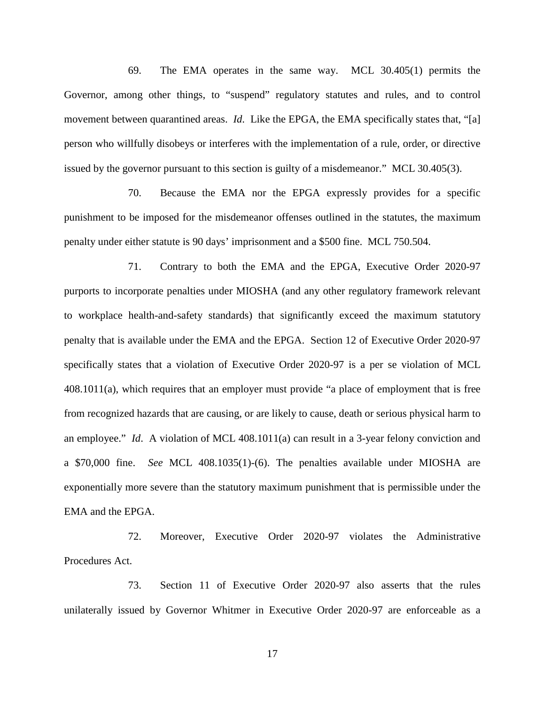69. The EMA operates in the same way. MCL 30.405(1) permits the Governor, among other things, to "suspend" regulatory statutes and rules, and to control movement between quarantined areas. *Id*. Like the EPGA, the EMA specifically states that, "[a] person who willfully disobeys or interferes with the implementation of a rule, order, or directive issued by the governor pursuant to this section is guilty of a misdemeanor." MCL 30.405(3).

70. Because the EMA nor the EPGA expressly provides for a specific punishment to be imposed for the misdemeanor offenses outlined in the statutes, the maximum penalty under either statute is 90 days' imprisonment and a \$500 fine. MCL 750.504.

71. Contrary to both the EMA and the EPGA, Executive Order 2020-97 purports to incorporate penalties under MIOSHA (and any other regulatory framework relevant to workplace health-and-safety standards) that significantly exceed the maximum statutory penalty that is available under the EMA and the EPGA. Section 12 of Executive Order 2020-97 specifically states that a violation of Executive Order 2020-97 is a per se violation of MCL 408.1011(a), which requires that an employer must provide "a place of employment that is free from recognized hazards that are causing, or are likely to cause, death or serious physical harm to an employee." *Id*. A violation of MCL 408.1011(a) can result in a 3-year felony conviction and a \$70,000 fine. *See* MCL 408.1035(1)-(6). The penalties available under MIOSHA are exponentially more severe than the statutory maximum punishment that is permissible under the EMA and the EPGA.

72. Moreover, Executive Order 2020-97 violates the Administrative Procedures Act.

73. Section 11 of Executive Order 2020-97 also asserts that the rules unilaterally issued by Governor Whitmer in Executive Order 2020-97 are enforceable as a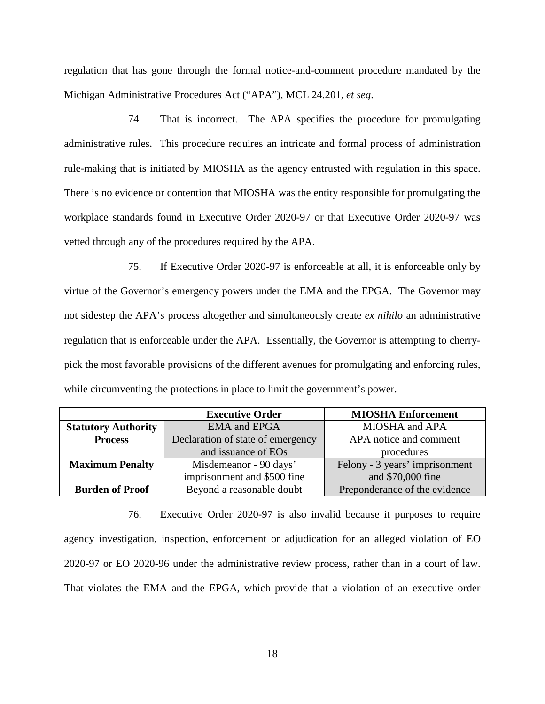regulation that has gone through the formal notice-and-comment procedure mandated by the Michigan Administrative Procedures Act ("APA"), MCL 24.201, *et seq*.

74. That is incorrect. The APA specifies the procedure for promulgating administrative rules. This procedure requires an intricate and formal process of administration rule-making that is initiated by MIOSHA as the agency entrusted with regulation in this space. There is no evidence or contention that MIOSHA was the entity responsible for promulgating the workplace standards found in Executive Order 2020-97 or that Executive Order 2020-97 was vetted through any of the procedures required by the APA.

75. If Executive Order 2020-97 is enforceable at all, it is enforceable only by virtue of the Governor's emergency powers under the EMA and the EPGA. The Governor may not sidestep the APA's process altogether and simultaneously create *ex nihilo* an administrative regulation that is enforceable under the APA. Essentially, the Governor is attempting to cherrypick the most favorable provisions of the different avenues for promulgating and enforcing rules, while circumventing the protections in place to limit the government's power.

|                            | <b>Executive Order</b>            | <b>MIOSHA Enforcement</b>      |
|----------------------------|-----------------------------------|--------------------------------|
| <b>Statutory Authority</b> | <b>EMA</b> and EPGA               | MIOSHA and APA                 |
| <b>Process</b>             | Declaration of state of emergency | APA notice and comment         |
|                            | and issuance of EOs               | procedures                     |
| <b>Maximum Penalty</b>     | Misdemeanor - 90 days'            | Felony - 3 years' imprisonment |
|                            | imprisonment and \$500 fine       | and \$70,000 fine              |
| <b>Burden of Proof</b>     | Beyond a reasonable doubt         | Preponderance of the evidence  |

76. Executive Order 2020-97 is also invalid because it purposes to require agency investigation, inspection, enforcement or adjudication for an alleged violation of EO 2020-97 or EO 2020-96 under the administrative review process, rather than in a court of law. That violates the EMA and the EPGA, which provide that a violation of an executive order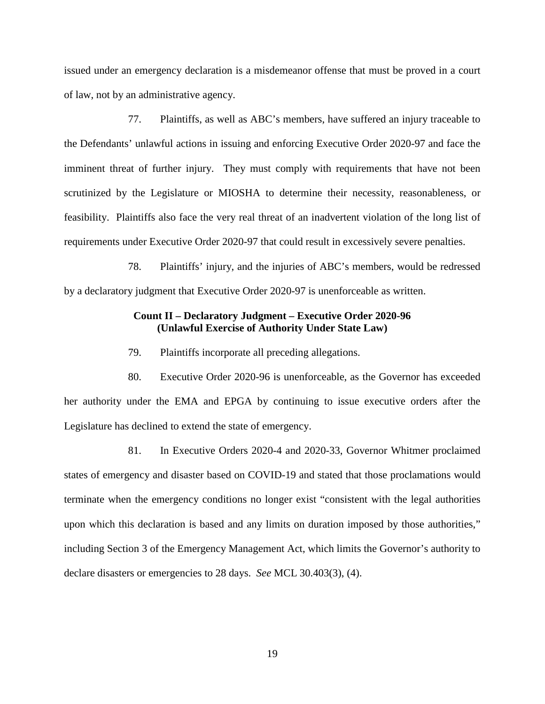issued under an emergency declaration is a misdemeanor offense that must be proved in a court of law, not by an administrative agency.

77. Plaintiffs, as well as ABC's members, have suffered an injury traceable to the Defendants' unlawful actions in issuing and enforcing Executive Order 2020-97 and face the imminent threat of further injury. They must comply with requirements that have not been scrutinized by the Legislature or MIOSHA to determine their necessity, reasonableness, or feasibility. Plaintiffs also face the very real threat of an inadvertent violation of the long list of requirements under Executive Order 2020-97 that could result in excessively severe penalties.

78. Plaintiffs' injury, and the injuries of ABC's members, would be redressed by a declaratory judgment that Executive Order 2020-97 is unenforceable as written.

## **Count II – Declaratory Judgment – Executive Order 2020-96 (Unlawful Exercise of Authority Under State Law)**

79. Plaintiffs incorporate all preceding allegations.

80. Executive Order 2020-96 is unenforceable, as the Governor has exceeded her authority under the EMA and EPGA by continuing to issue executive orders after the Legislature has declined to extend the state of emergency.

81. In Executive Orders 2020-4 and 2020-33, Governor Whitmer proclaimed states of emergency and disaster based on COVID-19 and stated that those proclamations would terminate when the emergency conditions no longer exist "consistent with the legal authorities upon which this declaration is based and any limits on duration imposed by those authorities," including Section 3 of the Emergency Management Act, which limits the Governor's authority to declare disasters or emergencies to 28 days. *See* MCL 30.403(3), (4).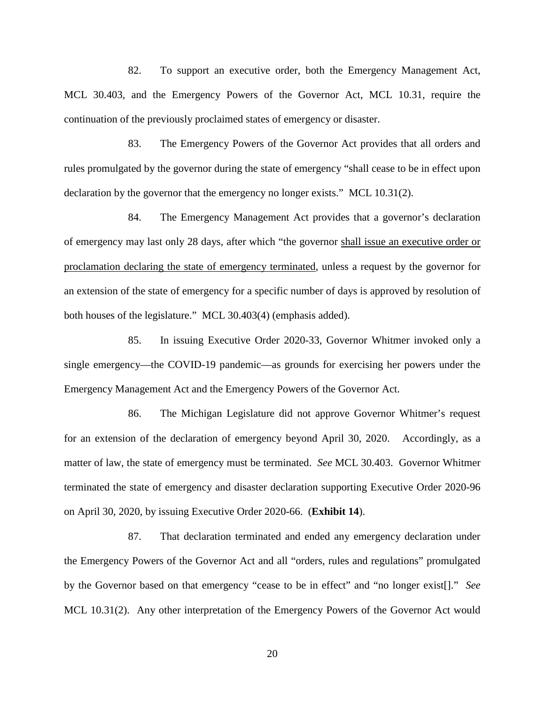82. To support an executive order, both the Emergency Management Act, MCL 30.403, and the Emergency Powers of the Governor Act, MCL 10.31, require the continuation of the previously proclaimed states of emergency or disaster.

83. The Emergency Powers of the Governor Act provides that all orders and rules promulgated by the governor during the state of emergency "shall cease to be in effect upon declaration by the governor that the emergency no longer exists." MCL 10.31(2).

84. The Emergency Management Act provides that a governor's declaration of emergency may last only 28 days, after which "the governor shall issue an executive order or proclamation declaring the state of emergency terminated, unless a request by the governor for an extension of the state of emergency for a specific number of days is approved by resolution of both houses of the legislature." MCL 30.403(4) (emphasis added).

85. In issuing Executive Order 2020-33, Governor Whitmer invoked only a single emergency—the COVID-19 pandemic—as grounds for exercising her powers under the Emergency Management Act and the Emergency Powers of the Governor Act.

86. The Michigan Legislature did not approve Governor Whitmer's request for an extension of the declaration of emergency beyond April 30, 2020. Accordingly, as a matter of law, the state of emergency must be terminated. *See* MCL 30.403. Governor Whitmer terminated the state of emergency and disaster declaration supporting Executive Order 2020-96 on April 30, 2020, by issuing Executive Order 2020-66. (**Exhibit 14**).

87. That declaration terminated and ended any emergency declaration under the Emergency Powers of the Governor Act and all "orders, rules and regulations" promulgated by the Governor based on that emergency "cease to be in effect" and "no longer exist[]." *See* MCL 10.31(2). Any other interpretation of the Emergency Powers of the Governor Act would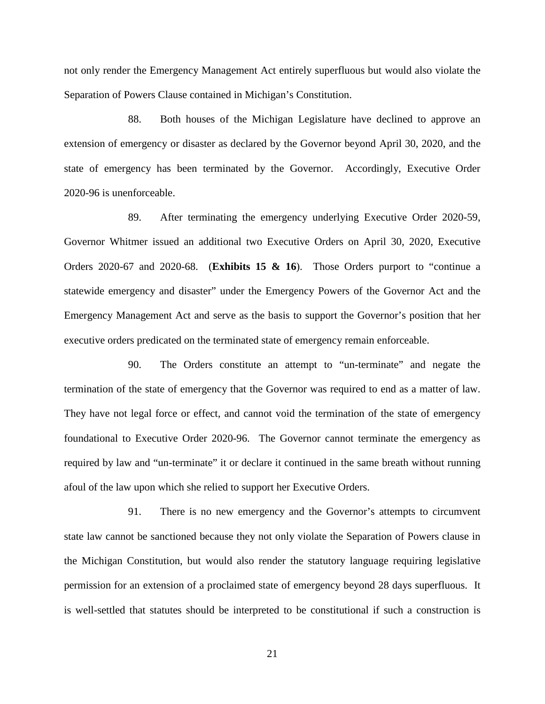not only render the Emergency Management Act entirely superfluous but would also violate the Separation of Powers Clause contained in Michigan's Constitution.

88. Both houses of the Michigan Legislature have declined to approve an extension of emergency or disaster as declared by the Governor beyond April 30, 2020, and the state of emergency has been terminated by the Governor. Accordingly, Executive Order 2020-96 is unenforceable.

89. After terminating the emergency underlying Executive Order 2020-59, Governor Whitmer issued an additional two Executive Orders on April 30, 2020, Executive Orders 2020-67 and 2020-68. (**Exhibits 15 & 16**). Those Orders purport to "continue a statewide emergency and disaster" under the Emergency Powers of the Governor Act and the Emergency Management Act and serve as the basis to support the Governor's position that her executive orders predicated on the terminated state of emergency remain enforceable.

90. The Orders constitute an attempt to "un-terminate" and negate the termination of the state of emergency that the Governor was required to end as a matter of law. They have not legal force or effect, and cannot void the termination of the state of emergency foundational to Executive Order 2020-96. The Governor cannot terminate the emergency as required by law and "un-terminate" it or declare it continued in the same breath without running afoul of the law upon which she relied to support her Executive Orders.

91. There is no new emergency and the Governor's attempts to circumvent state law cannot be sanctioned because they not only violate the Separation of Powers clause in the Michigan Constitution, but would also render the statutory language requiring legislative permission for an extension of a proclaimed state of emergency beyond 28 days superfluous. It is well-settled that statutes should be interpreted to be constitutional if such a construction is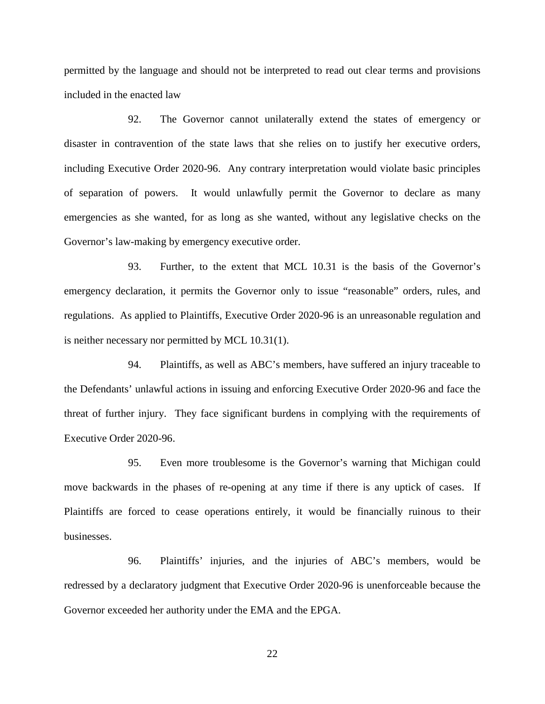permitted by the language and should not be interpreted to read out clear terms and provisions included in the enacted law

92. The Governor cannot unilaterally extend the states of emergency or disaster in contravention of the state laws that she relies on to justify her executive orders, including Executive Order 2020-96. Any contrary interpretation would violate basic principles of separation of powers. It would unlawfully permit the Governor to declare as many emergencies as she wanted, for as long as she wanted, without any legislative checks on the Governor's law-making by emergency executive order.

93. Further, to the extent that MCL 10.31 is the basis of the Governor's emergency declaration, it permits the Governor only to issue "reasonable" orders, rules, and regulations. As applied to Plaintiffs, Executive Order 2020-96 is an unreasonable regulation and is neither necessary nor permitted by MCL 10.31(1).

94. Plaintiffs, as well as ABC's members, have suffered an injury traceable to the Defendants' unlawful actions in issuing and enforcing Executive Order 2020-96 and face the threat of further injury. They face significant burdens in complying with the requirements of Executive Order 2020-96.

95. Even more troublesome is the Governor's warning that Michigan could move backwards in the phases of re-opening at any time if there is any uptick of cases. If Plaintiffs are forced to cease operations entirely, it would be financially ruinous to their businesses.

96. Plaintiffs' injuries, and the injuries of ABC's members, would be redressed by a declaratory judgment that Executive Order 2020-96 is unenforceable because the Governor exceeded her authority under the EMA and the EPGA.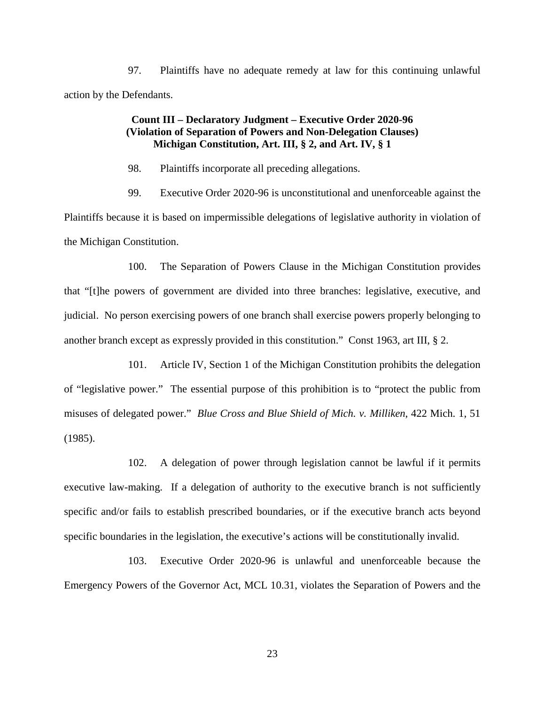97. Plaintiffs have no adequate remedy at law for this continuing unlawful action by the Defendants.

# **Count III – Declaratory Judgment – Executive Order 2020-96 (Violation of Separation of Powers and Non-Delegation Clauses) Michigan Constitution, Art. III, § 2, and Art. IV, § 1**

98. Plaintiffs incorporate all preceding allegations.

99. Executive Order 2020-96 is unconstitutional and unenforceable against the Plaintiffs because it is based on impermissible delegations of legislative authority in violation of the Michigan Constitution.

100. The Separation of Powers Clause in the Michigan Constitution provides that "[t]he powers of government are divided into three branches: legislative, executive, and judicial. No person exercising powers of one branch shall exercise powers properly belonging to another branch except as expressly provided in this constitution." Const 1963, art III, § 2.

101. Article IV, Section 1 of the Michigan Constitution prohibits the delegation of "legislative power." The essential purpose of this prohibition is to "protect the public from misuses of delegated power." *Blue Cross and Blue Shield of Mich. v. Milliken*, 422 Mich. 1, 51 (1985).

102. A delegation of power through legislation cannot be lawful if it permits executive law-making. If a delegation of authority to the executive branch is not sufficiently specific and/or fails to establish prescribed boundaries, or if the executive branch acts beyond specific boundaries in the legislation, the executive's actions will be constitutionally invalid.

103. Executive Order 2020-96 is unlawful and unenforceable because the Emergency Powers of the Governor Act, MCL 10.31, violates the Separation of Powers and the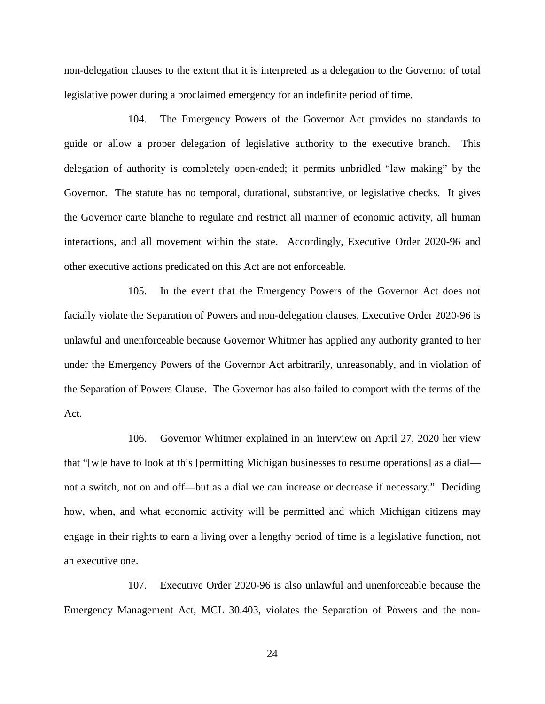non-delegation clauses to the extent that it is interpreted as a delegation to the Governor of total legislative power during a proclaimed emergency for an indefinite period of time.

104. The Emergency Powers of the Governor Act provides no standards to guide or allow a proper delegation of legislative authority to the executive branch. This delegation of authority is completely open-ended; it permits unbridled "law making" by the Governor. The statute has no temporal, durational, substantive, or legislative checks. It gives the Governor carte blanche to regulate and restrict all manner of economic activity, all human interactions, and all movement within the state. Accordingly, Executive Order 2020-96 and other executive actions predicated on this Act are not enforceable.

105. In the event that the Emergency Powers of the Governor Act does not facially violate the Separation of Powers and non-delegation clauses, Executive Order 2020-96 is unlawful and unenforceable because Governor Whitmer has applied any authority granted to her under the Emergency Powers of the Governor Act arbitrarily, unreasonably, and in violation of the Separation of Powers Clause. The Governor has also failed to comport with the terms of the Act.

106. Governor Whitmer explained in an interview on April 27, 2020 her view that "[w]e have to look at this [permitting Michigan businesses to resume operations] as a dial not a switch, not on and off—but as a dial we can increase or decrease if necessary." Deciding how, when, and what economic activity will be permitted and which Michigan citizens may engage in their rights to earn a living over a lengthy period of time is a legislative function, not an executive one.

107. Executive Order 2020-96 is also unlawful and unenforceable because the Emergency Management Act, MCL 30.403, violates the Separation of Powers and the non-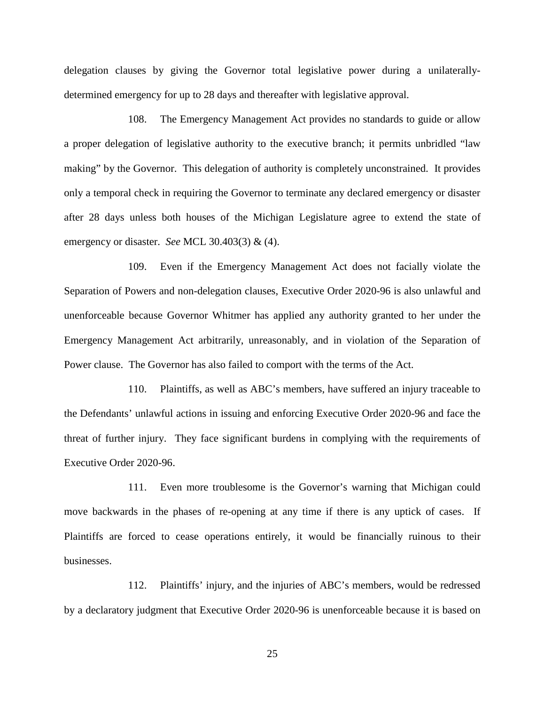delegation clauses by giving the Governor total legislative power during a unilaterallydetermined emergency for up to 28 days and thereafter with legislative approval.

108. The Emergency Management Act provides no standards to guide or allow a proper delegation of legislative authority to the executive branch; it permits unbridled "law making" by the Governor. This delegation of authority is completely unconstrained. It provides only a temporal check in requiring the Governor to terminate any declared emergency or disaster after 28 days unless both houses of the Michigan Legislature agree to extend the state of emergency or disaster. *See* MCL 30.403(3) & (4).

109. Even if the Emergency Management Act does not facially violate the Separation of Powers and non-delegation clauses, Executive Order 2020-96 is also unlawful and unenforceable because Governor Whitmer has applied any authority granted to her under the Emergency Management Act arbitrarily, unreasonably, and in violation of the Separation of Power clause. The Governor has also failed to comport with the terms of the Act.

110. Plaintiffs, as well as ABC's members, have suffered an injury traceable to the Defendants' unlawful actions in issuing and enforcing Executive Order 2020-96 and face the threat of further injury. They face significant burdens in complying with the requirements of Executive Order 2020-96.

111. Even more troublesome is the Governor's warning that Michigan could move backwards in the phases of re-opening at any time if there is any uptick of cases. If Plaintiffs are forced to cease operations entirely, it would be financially ruinous to their businesses.

112. Plaintiffs' injury, and the injuries of ABC's members, would be redressed by a declaratory judgment that Executive Order 2020-96 is unenforceable because it is based on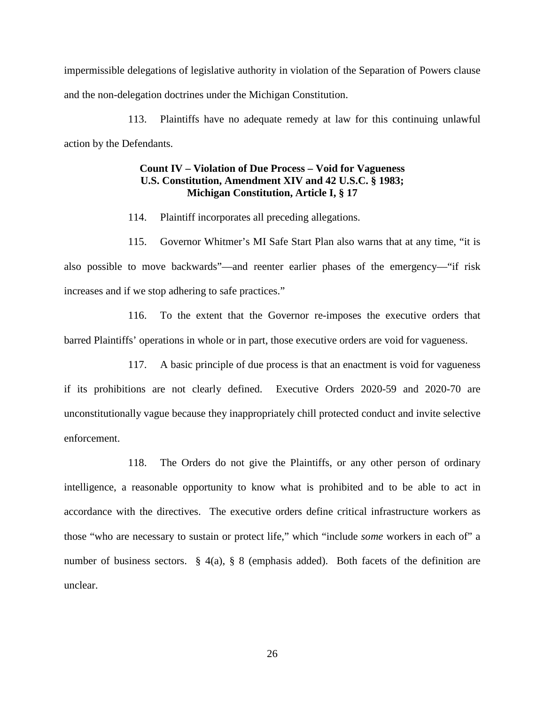impermissible delegations of legislative authority in violation of the Separation of Powers clause and the non-delegation doctrines under the Michigan Constitution.

113. Plaintiffs have no adequate remedy at law for this continuing unlawful action by the Defendants.

# **Count IV – Violation of Due Process – Void for Vagueness U.S. Constitution, Amendment XIV and 42 U.S.C. § 1983; Michigan Constitution, Article I, § 17**

114. Plaintiff incorporates all preceding allegations.

115. Governor Whitmer's MI Safe Start Plan also warns that at any time, "it is also possible to move backwards"—and reenter earlier phases of the emergency—"if risk increases and if we stop adhering to safe practices."

116. To the extent that the Governor re-imposes the executive orders that barred Plaintiffs' operations in whole or in part, those executive orders are void for vagueness.

117. A basic principle of due process is that an enactment is void for vagueness if its prohibitions are not clearly defined. Executive Orders 2020-59 and 2020-70 are unconstitutionally vague because they inappropriately chill protected conduct and invite selective enforcement.

118. The Orders do not give the Plaintiffs, or any other person of ordinary intelligence, a reasonable opportunity to know what is prohibited and to be able to act in accordance with the directives. The executive orders define critical infrastructure workers as those "who are necessary to sustain or protect life," which "include *some* workers in each of" a number of business sectors. § 4(a), § 8 (emphasis added). Both facets of the definition are unclear.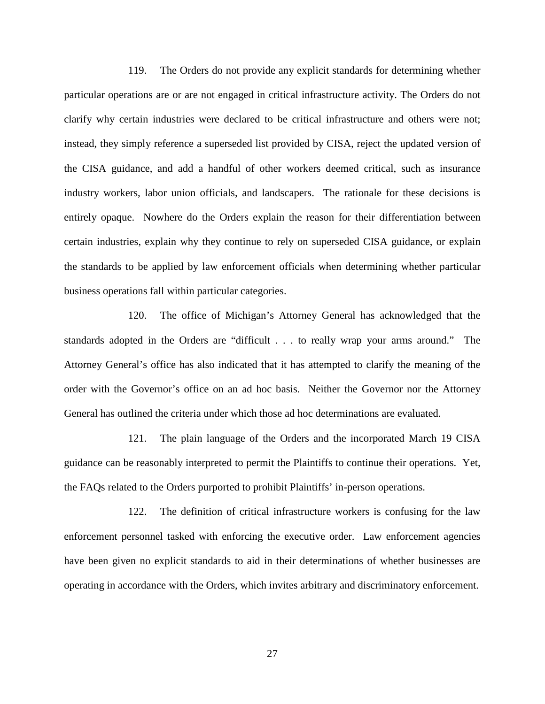119. The Orders do not provide any explicit standards for determining whether particular operations are or are not engaged in critical infrastructure activity. The Orders do not clarify why certain industries were declared to be critical infrastructure and others were not; instead, they simply reference a superseded list provided by CISA, reject the updated version of the CISA guidance, and add a handful of other workers deemed critical, such as insurance industry workers, labor union officials, and landscapers. The rationale for these decisions is entirely opaque. Nowhere do the Orders explain the reason for their differentiation between certain industries, explain why they continue to rely on superseded CISA guidance, or explain the standards to be applied by law enforcement officials when determining whether particular business operations fall within particular categories.

120. The office of Michigan's Attorney General has acknowledged that the standards adopted in the Orders are "difficult . . . to really wrap your arms around." The Attorney General's office has also indicated that it has attempted to clarify the meaning of the order with the Governor's office on an ad hoc basis. Neither the Governor nor the Attorney General has outlined the criteria under which those ad hoc determinations are evaluated.

121. The plain language of the Orders and the incorporated March 19 CISA guidance can be reasonably interpreted to permit the Plaintiffs to continue their operations. Yet, the FAQs related to the Orders purported to prohibit Plaintiffs' in-person operations.

122. The definition of critical infrastructure workers is confusing for the law enforcement personnel tasked with enforcing the executive order. Law enforcement agencies have been given no explicit standards to aid in their determinations of whether businesses are operating in accordance with the Orders, which invites arbitrary and discriminatory enforcement.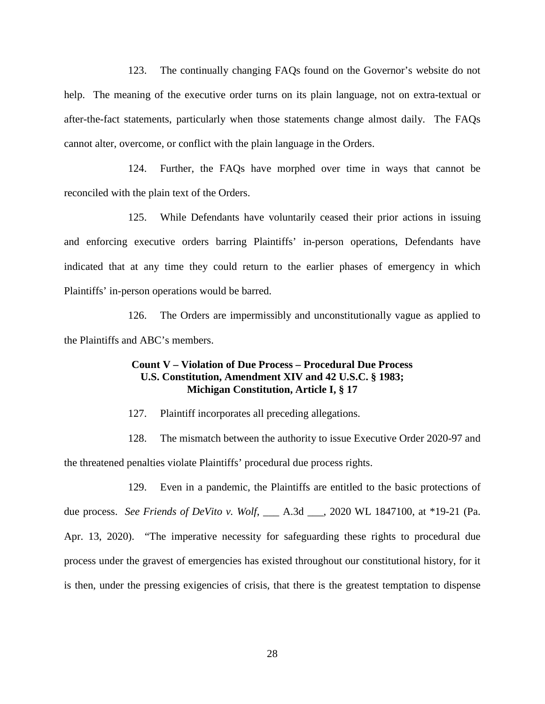123. The continually changing FAQs found on the Governor's website do not help. The meaning of the executive order turns on its plain language, not on extra-textual or after-the-fact statements, particularly when those statements change almost daily. The FAQs cannot alter, overcome, or conflict with the plain language in the Orders.

124. Further, the FAQs have morphed over time in ways that cannot be reconciled with the plain text of the Orders.

125. While Defendants have voluntarily ceased their prior actions in issuing and enforcing executive orders barring Plaintiffs' in-person operations, Defendants have indicated that at any time they could return to the earlier phases of emergency in which Plaintiffs' in-person operations would be barred.

126. The Orders are impermissibly and unconstitutionally vague as applied to the Plaintiffs and ABC's members.

## **Count V – Violation of Due Process – Procedural Due Process U.S. Constitution, Amendment XIV and 42 U.S.C. § 1983; Michigan Constitution, Article I, § 17**

127. Plaintiff incorporates all preceding allegations.

128. The mismatch between the authority to issue Executive Order 2020-97 and the threatened penalties violate Plaintiffs' procedural due process rights.

129. Even in a pandemic, the Plaintiffs are entitled to the basic protections of due process. *See Friends of DeVito v. Wolf*, \_\_\_ A.3d \_\_\_, 2020 WL 1847100, at \*19-21 (Pa. Apr. 13, 2020). "The imperative necessity for safeguarding these rights to procedural due process under the gravest of emergencies has existed throughout our constitutional history, for it is then, under the pressing exigencies of crisis, that there is the greatest temptation to dispense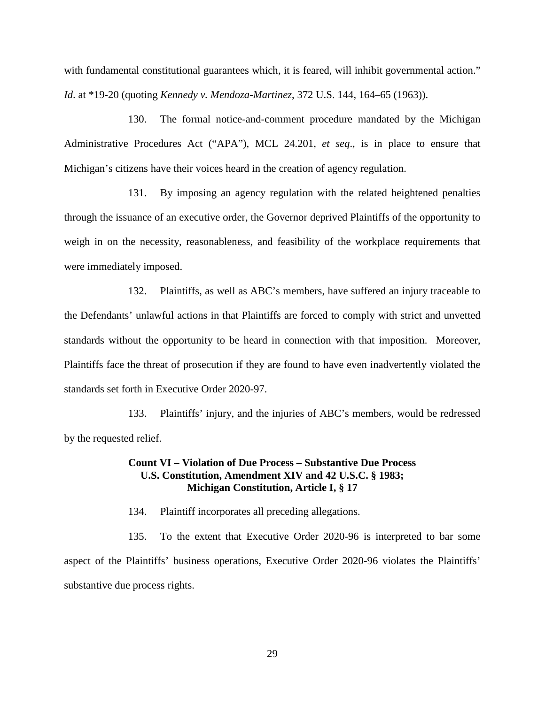with fundamental constitutional guarantees which, it is feared, will inhibit governmental action." *Id*. at \*19-20 (quoting *Kennedy v. Mendoza-Martinez*, 372 U.S. 144, 164–65 (1963)).

130. The formal notice-and-comment procedure mandated by the Michigan Administrative Procedures Act ("APA"), MCL 24.201, *et seq*., is in place to ensure that Michigan's citizens have their voices heard in the creation of agency regulation.

131. By imposing an agency regulation with the related heightened penalties through the issuance of an executive order, the Governor deprived Plaintiffs of the opportunity to weigh in on the necessity, reasonableness, and feasibility of the workplace requirements that were immediately imposed.

132. Plaintiffs, as well as ABC's members, have suffered an injury traceable to the Defendants' unlawful actions in that Plaintiffs are forced to comply with strict and unvetted standards without the opportunity to be heard in connection with that imposition. Moreover, Plaintiffs face the threat of prosecution if they are found to have even inadvertently violated the standards set forth in Executive Order 2020-97.

133. Plaintiffs' injury, and the injuries of ABC's members, would be redressed by the requested relief.

## **Count VI – Violation of Due Process – Substantive Due Process U.S. Constitution, Amendment XIV and 42 U.S.C. § 1983; Michigan Constitution, Article I, § 17**

134. Plaintiff incorporates all preceding allegations.

135. To the extent that Executive Order 2020-96 is interpreted to bar some aspect of the Plaintiffs' business operations, Executive Order 2020-96 violates the Plaintiffs' substantive due process rights.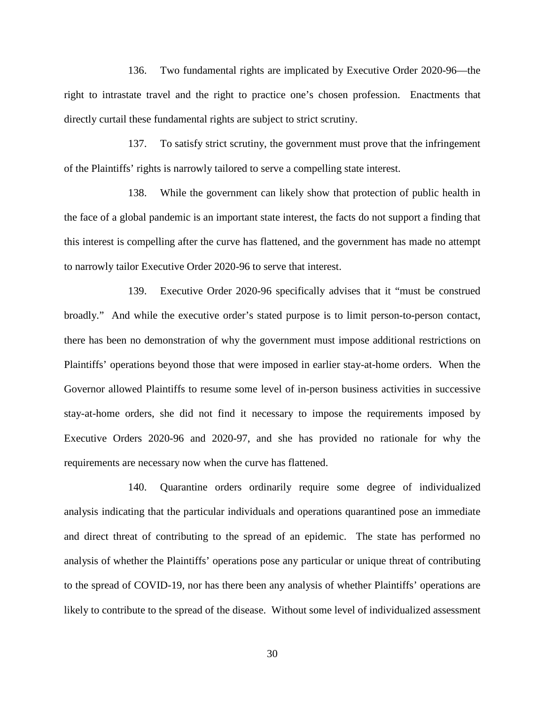136. Two fundamental rights are implicated by Executive Order 2020-96—the right to intrastate travel and the right to practice one's chosen profession. Enactments that directly curtail these fundamental rights are subject to strict scrutiny.

137. To satisfy strict scrutiny, the government must prove that the infringement of the Plaintiffs' rights is narrowly tailored to serve a compelling state interest.

138. While the government can likely show that protection of public health in the face of a global pandemic is an important state interest, the facts do not support a finding that this interest is compelling after the curve has flattened, and the government has made no attempt to narrowly tailor Executive Order 2020-96 to serve that interest.

139. Executive Order 2020-96 specifically advises that it "must be construed broadly." And while the executive order's stated purpose is to limit person-to-person contact, there has been no demonstration of why the government must impose additional restrictions on Plaintiffs' operations beyond those that were imposed in earlier stay-at-home orders. When the Governor allowed Plaintiffs to resume some level of in-person business activities in successive stay-at-home orders, she did not find it necessary to impose the requirements imposed by Executive Orders 2020-96 and 2020-97, and she has provided no rationale for why the requirements are necessary now when the curve has flattened.

140. Quarantine orders ordinarily require some degree of individualized analysis indicating that the particular individuals and operations quarantined pose an immediate and direct threat of contributing to the spread of an epidemic. The state has performed no analysis of whether the Plaintiffs' operations pose any particular or unique threat of contributing to the spread of COVID-19, nor has there been any analysis of whether Plaintiffs' operations are likely to contribute to the spread of the disease. Without some level of individualized assessment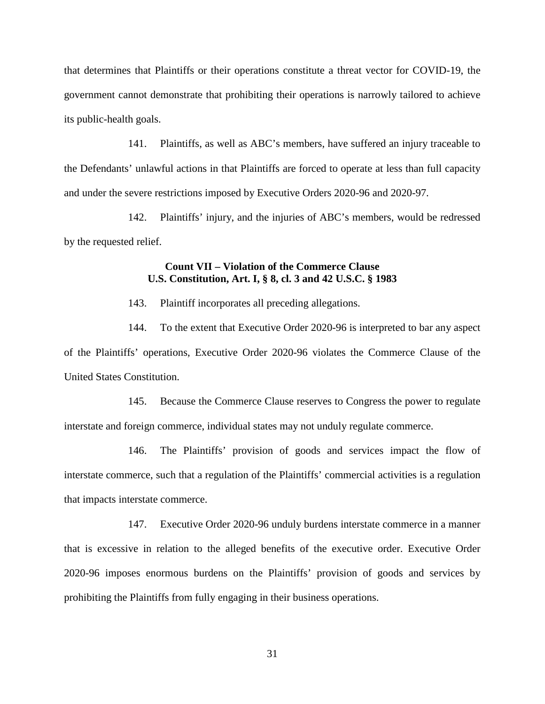that determines that Plaintiffs or their operations constitute a threat vector for COVID-19, the government cannot demonstrate that prohibiting their operations is narrowly tailored to achieve its public-health goals.

141. Plaintiffs, as well as ABC's members, have suffered an injury traceable to the Defendants' unlawful actions in that Plaintiffs are forced to operate at less than full capacity and under the severe restrictions imposed by Executive Orders 2020-96 and 2020-97.

142. Plaintiffs' injury, and the injuries of ABC's members, would be redressed by the requested relief.

# **Count VII – Violation of the Commerce Clause U.S. Constitution, Art. I, § 8, cl. 3 and 42 U.S.C. § 1983**

143. Plaintiff incorporates all preceding allegations.

144. To the extent that Executive Order 2020-96 is interpreted to bar any aspect of the Plaintiffs' operations, Executive Order 2020-96 violates the Commerce Clause of the United States Constitution.

145. Because the Commerce Clause reserves to Congress the power to regulate interstate and foreign commerce, individual states may not unduly regulate commerce.

146. The Plaintiffs' provision of goods and services impact the flow of interstate commerce, such that a regulation of the Plaintiffs' commercial activities is a regulation that impacts interstate commerce.

147. Executive Order 2020-96 unduly burdens interstate commerce in a manner that is excessive in relation to the alleged benefits of the executive order. Executive Order 2020-96 imposes enormous burdens on the Plaintiffs' provision of goods and services by prohibiting the Plaintiffs from fully engaging in their business operations.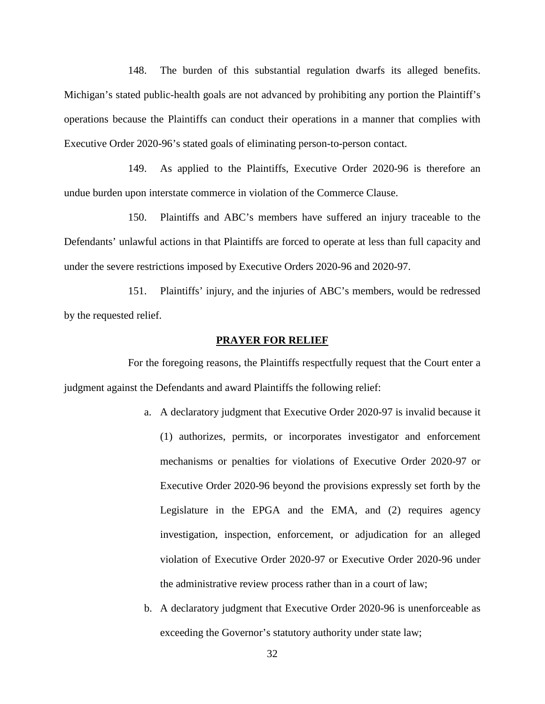148. The burden of this substantial regulation dwarfs its alleged benefits. Michigan's stated public-health goals are not advanced by prohibiting any portion the Plaintiff's operations because the Plaintiffs can conduct their operations in a manner that complies with Executive Order 2020-96's stated goals of eliminating person-to-person contact.

149. As applied to the Plaintiffs, Executive Order 2020-96 is therefore an undue burden upon interstate commerce in violation of the Commerce Clause.

150. Plaintiffs and ABC's members have suffered an injury traceable to the Defendants' unlawful actions in that Plaintiffs are forced to operate at less than full capacity and under the severe restrictions imposed by Executive Orders 2020-96 and 2020-97.

151. Plaintiffs' injury, and the injuries of ABC's members, would be redressed by the requested relief.

## **PRAYER FOR RELIEF**

For the foregoing reasons, the Plaintiffs respectfully request that the Court enter a judgment against the Defendants and award Plaintiffs the following relief:

- a. A declaratory judgment that Executive Order 2020-97 is invalid because it (1) authorizes, permits, or incorporates investigator and enforcement mechanisms or penalties for violations of Executive Order 2020-97 or Executive Order 2020-96 beyond the provisions expressly set forth by the Legislature in the EPGA and the EMA, and (2) requires agency investigation, inspection, enforcement, or adjudication for an alleged violation of Executive Order 2020-97 or Executive Order 2020-96 under the administrative review process rather than in a court of law;
- b. A declaratory judgment that Executive Order 2020-96 is unenforceable as exceeding the Governor's statutory authority under state law;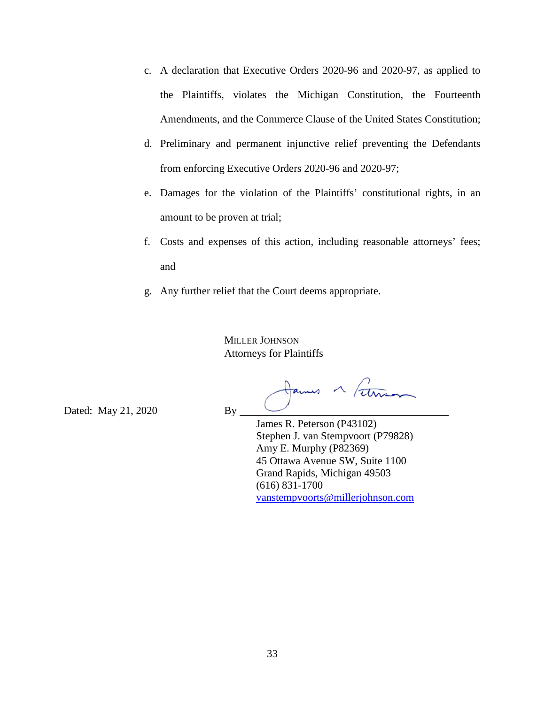- c. A declaration that Executive Orders 2020-96 and 2020-97, as applied to the Plaintiffs, violates the Michigan Constitution, the Fourteenth Amendments, and the Commerce Clause of the United States Constitution;
- d. Preliminary and permanent injunctive relief preventing the Defendants from enforcing Executive Orders 2020-96 and 2020-97;
- e. Damages for the violation of the Plaintiffs' constitutional rights, in an amount to be proven at trial;
- f. Costs and expenses of this action, including reasonable attorneys' fees; and
- g. Any further relief that the Court deems appropriate.

MILLER JOHNSON Attorneys for Plaintiffs

ames a Fethran

Dated: May 21, 2020 By

James R. Peterson (P43102) Stephen J. van Stempvoort (P79828) Amy E. Murphy (P82369) 45 Ottawa Avenue SW, Suite 1100 Grand Rapids, Michigan 49503 (616) 831-1700 vanstempvoorts@millerjohnson.com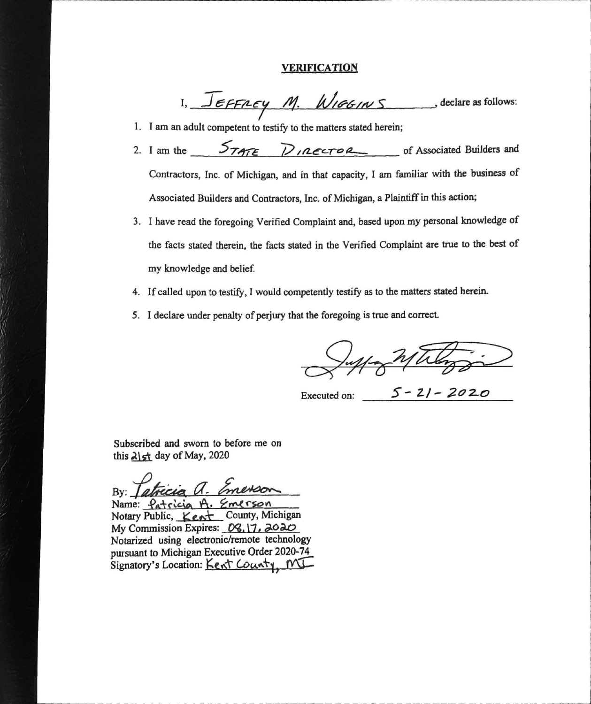#### **VERIFICATION**

1,  $Jeffney$  M.  $WIGG/NS$ , declare as follows:

- 1. I am an adult competent to testify to the matters stated herein;
- 2. I am the  $5747 = D/AC5 = 0$  of Associated Builders and Contractors, Inc. of Michigan, and in that capacity. I am familiar with the business of Associated Builders and Contractors, Inc. of Michigan, a Plaintiff in this action;
- 3. I have read the foregoing Verified Complaint and, based upon my personal knowledge of the facts stated therein, the facts stated in the Verified Complaint are true to the best of my knowledge and belief.
- 4. If called upon to testify, I would competently testify as to the matters stated herein.
- 5. I declare under penalty of perjury that the foregoing is true and correct.

Executed on:  $5 - 21 - 2020$ 

Subscribed and sworn to before me on this  $\lambda$  st day of May, 2020

 $By:$ 

Name: Patricia A. Emerson Notary Public, Kent County, Michigan My Commission Expires: 08, 17, 2020 Notarized using electronic/remote technology pursuant to Michigan Executive Order 2020-74 Signatory's Location: Kent County, MI